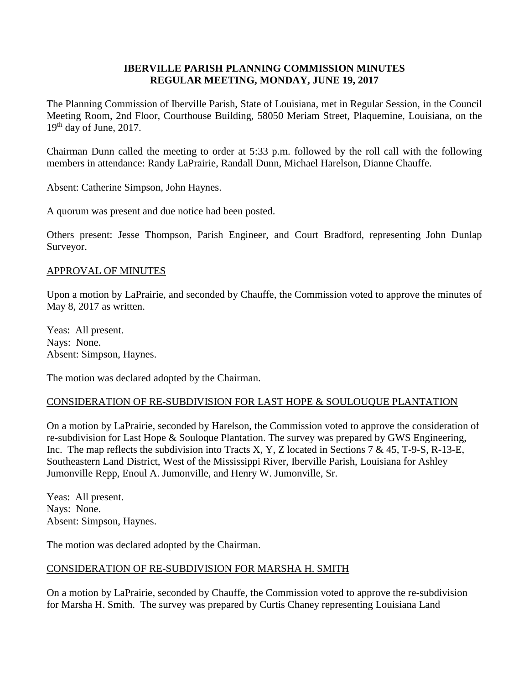## **IBERVILLE PARISH PLANNING COMMISSION MINUTES REGULAR MEETING, MONDAY, JUNE 19, 2017**

The Planning Commission of Iberville Parish, State of Louisiana, met in Regular Session, in the Council Meeting Room, 2nd Floor, Courthouse Building, 58050 Meriam Street, Plaquemine, Louisiana, on the  $19<sup>th</sup>$  day of June, 2017.

Chairman Dunn called the meeting to order at 5:33 p.m. followed by the roll call with the following members in attendance: Randy LaPrairie, Randall Dunn, Michael Harelson, Dianne Chauffe.

Absent: Catherine Simpson, John Haynes.

A quorum was present and due notice had been posted.

Others present: Jesse Thompson, Parish Engineer, and Court Bradford, representing John Dunlap Surveyor.

## APPROVAL OF MINUTES

Upon a motion by LaPrairie, and seconded by Chauffe, the Commission voted to approve the minutes of May 8, 2017 as written.

Yeas: All present. Nays: None. Absent: Simpson, Haynes.

The motion was declared adopted by the Chairman.

## CONSIDERATION OF RE-SUBDIVISION FOR LAST HOPE & SOULOUQUE PLANTATION

On a motion by LaPrairie, seconded by Harelson, the Commission voted to approve the consideration of re-subdivision for Last Hope & Souloque Plantation. The survey was prepared by GWS Engineering, Inc. The map reflects the subdivision into Tracts X, Y, Z located in Sections 7 & 45, T-9-S, R-13-E, Southeastern Land District, West of the Mississippi River, Iberville Parish, Louisiana for Ashley Jumonville Repp, Enoul A. Jumonville, and Henry W. Jumonville, Sr.

Yeas: All present. Nays: None. Absent: Simpson, Haynes.

The motion was declared adopted by the Chairman.

#### CONSIDERATION OF RE-SUBDIVISION FOR MARSHA H. SMITH

On a motion by LaPrairie, seconded by Chauffe, the Commission voted to approve the re-subdivision for Marsha H. Smith. The survey was prepared by Curtis Chaney representing Louisiana Land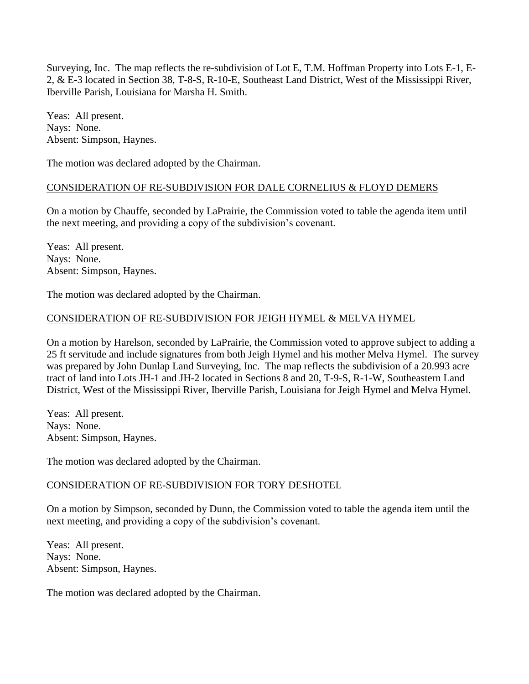Surveying, Inc. The map reflects the re-subdivision of Lot E, T.M. Hoffman Property into Lots E-1, E-2, & E-3 located in Section 38, T-8-S, R-10-E, Southeast Land District, West of the Mississippi River, Iberville Parish, Louisiana for Marsha H. Smith.

Yeas: All present. Nays: None. Absent: Simpson, Haynes.

The motion was declared adopted by the Chairman.

## CONSIDERATION OF RE-SUBDIVISION FOR DALE CORNELIUS & FLOYD DEMERS

On a motion by Chauffe, seconded by LaPrairie, the Commission voted to table the agenda item until the next meeting, and providing a copy of the subdivision's covenant.

Yeas: All present. Nays: None. Absent: Simpson, Haynes.

The motion was declared adopted by the Chairman.

## CONSIDERATION OF RE-SUBDIVISION FOR JEIGH HYMEL & MELVA HYMEL

On a motion by Harelson, seconded by LaPrairie, the Commission voted to approve subject to adding a 25 ft servitude and include signatures from both Jeigh Hymel and his mother Melva Hymel. The survey was prepared by John Dunlap Land Surveying, Inc. The map reflects the subdivision of a 20.993 acre tract of land into Lots JH-1 and JH-2 located in Sections 8 and 20, T-9-S, R-1-W, Southeastern Land District, West of the Mississippi River, Iberville Parish, Louisiana for Jeigh Hymel and Melva Hymel.

Yeas: All present. Nays: None. Absent: Simpson, Haynes.

The motion was declared adopted by the Chairman.

#### CONSIDERATION OF RE-SUBDIVISION FOR TORY DESHOTEL

On a motion by Simpson, seconded by Dunn, the Commission voted to table the agenda item until the next meeting, and providing a copy of the subdivision's covenant.

Yeas: All present. Nays: None. Absent: Simpson, Haynes.

The motion was declared adopted by the Chairman.